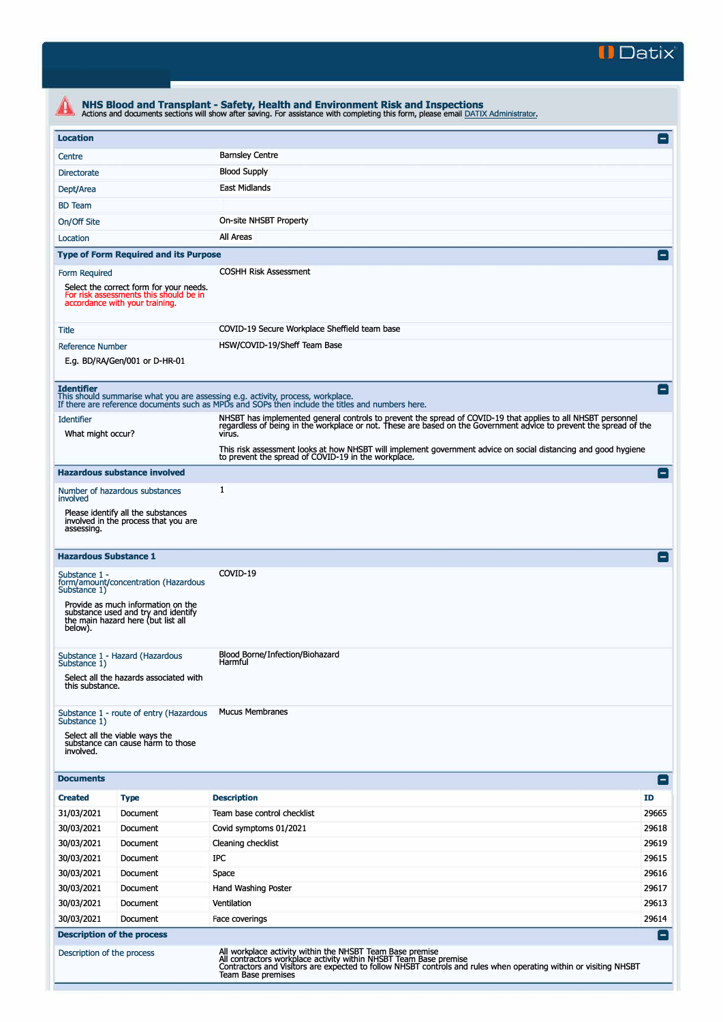

| <b>Location</b>                                                                                                                                                      |                                                                                                                 |                                                                                                                                                                                                                                                    | Е               |  |  |
|----------------------------------------------------------------------------------------------------------------------------------------------------------------------|-----------------------------------------------------------------------------------------------------------------|----------------------------------------------------------------------------------------------------------------------------------------------------------------------------------------------------------------------------------------------------|-----------------|--|--|
| Centre                                                                                                                                                               |                                                                                                                 | <b>Barnsley Centre</b>                                                                                                                                                                                                                             |                 |  |  |
| <b>Blood Supply</b><br>Directorate                                                                                                                                   |                                                                                                                 |                                                                                                                                                                                                                                                    |                 |  |  |
| <b>East Midlands</b><br>Dept/Area                                                                                                                                    |                                                                                                                 |                                                                                                                                                                                                                                                    |                 |  |  |
| <b>BD</b> Team                                                                                                                                                       |                                                                                                                 |                                                                                                                                                                                                                                                    |                 |  |  |
| On/Off Site                                                                                                                                                          |                                                                                                                 | On-site NHSBT Property                                                                                                                                                                                                                             |                 |  |  |
|                                                                                                                                                                      | All Areas                                                                                                       |                                                                                                                                                                                                                                                    |                 |  |  |
| Location                                                                                                                                                             |                                                                                                                 |                                                                                                                                                                                                                                                    |                 |  |  |
|                                                                                                                                                                      | <b>Type of Form Required and its Purpose</b>                                                                    |                                                                                                                                                                                                                                                    | E               |  |  |
| <b>COSHH Risk Assessment</b><br>Form Required<br>Select the correct form for your needs.<br>For risk assessments this should be in<br>accordance with your training. |                                                                                                                 |                                                                                                                                                                                                                                                    |                 |  |  |
| Title                                                                                                                                                                |                                                                                                                 | COVID-19 Secure Workplace Sheffield team base                                                                                                                                                                                                      |                 |  |  |
| <b>Reference Number</b>                                                                                                                                              | E.g. BD/RA/Gen/001 or D-HR-01                                                                                   | HSW/COVID-19/Sheff Team Base                                                                                                                                                                                                                       |                 |  |  |
| <b>Identifier</b>                                                                                                                                                    |                                                                                                                 | This should summarise what you are assessing e.g. activity, process, workplace.<br>If there are reference documents such as MPDs and SOPs then include the titles and numbers here.                                                                | $=$             |  |  |
| <b>Identifier</b>                                                                                                                                                    |                                                                                                                 | NHSBT has implemented general controls to prevent the spread of COVID-19 that applies to all NHSBT personnel                                                                                                                                       |                 |  |  |
| What might occur?                                                                                                                                                    |                                                                                                                 | regardless of being in the workplace or not. These are based on the Government advice to prevent the spread of the<br>virus.                                                                                                                       |                 |  |  |
|                                                                                                                                                                      |                                                                                                                 | This risk assessment looks at how NHSBT will implement government advice on social distancing and good hygiene                                                                                                                                     |                 |  |  |
|                                                                                                                                                                      |                                                                                                                 | to prevent the spread of COVID-19 in the workplace.                                                                                                                                                                                                |                 |  |  |
|                                                                                                                                                                      | <b>Hazardous substance involved</b>                                                                             |                                                                                                                                                                                                                                                    | E               |  |  |
| involved                                                                                                                                                             | Number of hazardous substances                                                                                  | 1                                                                                                                                                                                                                                                  |                 |  |  |
| assessing.                                                                                                                                                           | Please identify all the substances<br>involved in the process that you are                                      |                                                                                                                                                                                                                                                    |                 |  |  |
| <b>Hazardous Substance 1</b>                                                                                                                                         |                                                                                                                 |                                                                                                                                                                                                                                                    | E               |  |  |
| Substance 1 -<br>Substance 1)                                                                                                                                        | form/amount/concentration (Hazardous                                                                            | COVID-19                                                                                                                                                                                                                                           |                 |  |  |
| below).                                                                                                                                                              | Provide as much information on the<br>substance used and try and identify<br>the main hazard here (but list all |                                                                                                                                                                                                                                                    |                 |  |  |
| Substance 1 - Hazard (Hazardous<br>Substance 1)<br>Select all the hazards associated with                                                                            |                                                                                                                 | Blood Borne/Infection/Biohazard<br>Harmful                                                                                                                                                                                                         |                 |  |  |
| this substance.                                                                                                                                                      |                                                                                                                 |                                                                                                                                                                                                                                                    |                 |  |  |
| Substance 1)<br>Select all the viable ways the<br>involved.                                                                                                          | Substance 1 - route of entry (Hazardous<br>substance can cause harm to those                                    | <b>Mucus Membranes</b>                                                                                                                                                                                                                             |                 |  |  |
| <b>Documents</b>                                                                                                                                                     |                                                                                                                 |                                                                                                                                                                                                                                                    | $\vert - \vert$ |  |  |
| <b>Created</b>                                                                                                                                                       | <b>Type</b>                                                                                                     | <b>Description</b>                                                                                                                                                                                                                                 | ID              |  |  |
| 31/03/2021                                                                                                                                                           | Document                                                                                                        | Team base control checklist                                                                                                                                                                                                                        | 29665           |  |  |
| 30/03/2021                                                                                                                                                           | Document                                                                                                        | Covid symptoms 01/2021                                                                                                                                                                                                                             | 29618           |  |  |
| 30/03/2021                                                                                                                                                           | Document                                                                                                        | Cleaning checklist                                                                                                                                                                                                                                 | 29619           |  |  |
| 30/03/2021                                                                                                                                                           | Document                                                                                                        | IPC                                                                                                                                                                                                                                                | 29615           |  |  |
| 30/03/2021                                                                                                                                                           | Document                                                                                                        | Space                                                                                                                                                                                                                                              | 29616           |  |  |
| 30/03/2021                                                                                                                                                           | Document                                                                                                        | Hand Washing Poster                                                                                                                                                                                                                                | 29617           |  |  |
| 30/03/2021                                                                                                                                                           | Document                                                                                                        | Ventilation                                                                                                                                                                                                                                        | 29613           |  |  |
| 30/03/2021                                                                                                                                                           | Document                                                                                                        | Face coverings                                                                                                                                                                                                                                     | 29614           |  |  |
| <b>Description of the process</b>                                                                                                                                    |                                                                                                                 |                                                                                                                                                                                                                                                    | l —             |  |  |
| Description of the process                                                                                                                                           |                                                                                                                 | All workplace activity within the NHSBT Team Base premise<br>All contractors workplace activity within NHSBT Team Base premise<br>Contractors and Visitors are expected to follow NHSBT controls and rules when operating within or visiting NHSBT |                 |  |  |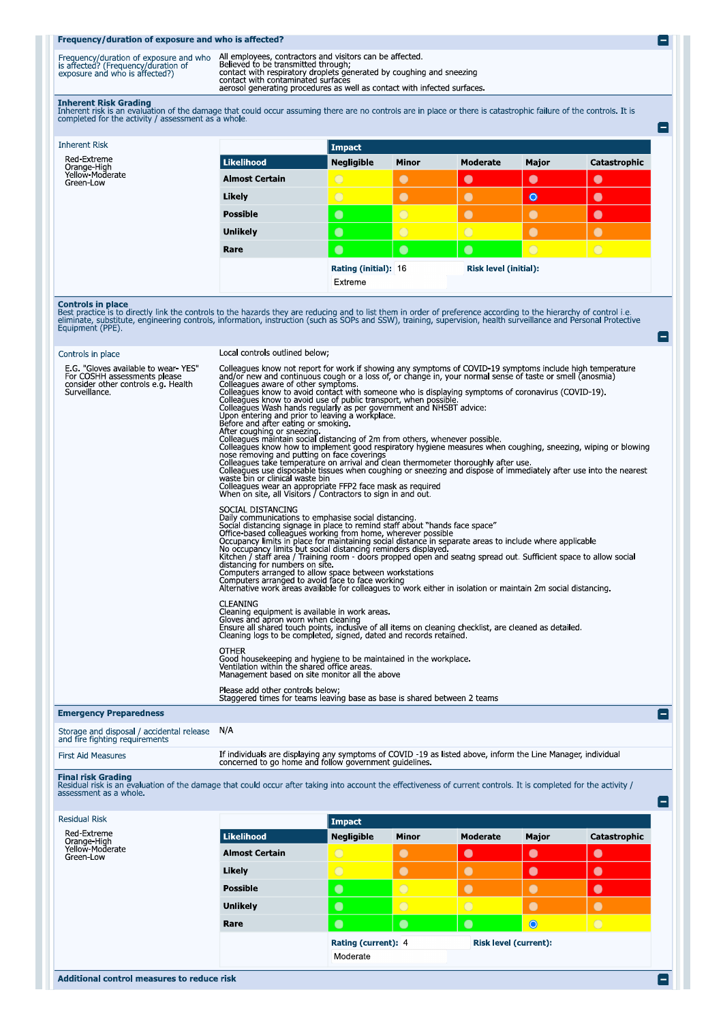## Frequency/duration of exposure and who is affected?

| Frequency/duration of exposure and who<br>is affected? (Frequency/duration of<br>exposure and who is affected?) | All employees, contractors and visitors can be affected<br>Believed to be transmitted through:<br>contact with respiratory droplets generated by coughing and sneezing<br>contact with contaminated surfaces<br>aerosol generating procedures as well as contact with infected surfaces. |
|-----------------------------------------------------------------------------------------------------------------|------------------------------------------------------------------------------------------------------------------------------------------------------------------------------------------------------------------------------------------------------------------------------------------|

Inherent Risk Grading<br>Inherent risk is an evaluation of the damage that could occur assuming there are no controls are in place or there is catastrophic failure of the controls. It is<br>completed for the activity / assessmen

|                       | Impact                                        |              |            |           |              |
|-----------------------|-----------------------------------------------|--------------|------------|-----------|--------------|
| Likelihood            | <b>Negligible</b>                             | <b>Minor</b> | Moderate   | Major     | Catastrophic |
| <b>Almost Certain</b> | $\overline{O}$                                | $\bullet$    | $\bullet$  | $\bullet$ | $\bullet$    |
| Likely                | $\bigcirc$                                    | O            | $\bullet$  | $\bullet$ | $\bullet$    |
| <b>Possible</b>       | $\bullet$                                     | $\circ$      | $\bullet$  | $\bullet$ | 0            |
| <b>Unlikely</b>       | $\bullet$                                     | $\circ$      | $\bigcirc$ | $\bullet$ | $\bullet$    |
| Rare                  | $\bullet$                                     | $\bullet$    | $\bullet$  | $\circ$   | $\bigcirc$   |
|                       | Rating (initial): 16<br>Risk level (initial): |              |            |           |              |
|                       | Extreme                                       |              |            |           |              |
|                       |                                               |              |            |           |              |

**Controls in place**<br>Best practice is to directly link the controls to the hazards they are reducing and to list them in order of preference according to the hierarchy of control i.e.<br>eliminate, substitute, engineering cont

| Controls in place                                                                                                           | Local controls outlined below:                                                                                                                                                                                                                                                                                                                                                                                                                                                                                                                                                                                                                                                                                                                                                                                                                                                                                                                                                                                                                                                                                                                                                                                                       |
|-----------------------------------------------------------------------------------------------------------------------------|--------------------------------------------------------------------------------------------------------------------------------------------------------------------------------------------------------------------------------------------------------------------------------------------------------------------------------------------------------------------------------------------------------------------------------------------------------------------------------------------------------------------------------------------------------------------------------------------------------------------------------------------------------------------------------------------------------------------------------------------------------------------------------------------------------------------------------------------------------------------------------------------------------------------------------------------------------------------------------------------------------------------------------------------------------------------------------------------------------------------------------------------------------------------------------------------------------------------------------------|
| E.G. "Gloves available to wear-YES"<br>For COSHH assessments please<br>consider other controls e.g. Health<br>Surveillance. | Colleagues know not report for work if showing any symptoms of COVID-19 symptoms include high temperature<br>and/or new and continuous cough or a loss of, or change in, your normal sense of taste or smell (anosmia)<br>Colleagues aware of other symptoms.<br>Colleagues know to avoid contact with someone who is displaying symptoms of coronavirus (COVID-19).<br>Colleagues know to avoid use of public transport, when possible.<br>Colleagues Wash hands regularly as per government and NHSBT advice:<br>Upon entering and prior to leaving a workplace.<br>Before and after eating or smoking.<br>After coughing or sneezing and a state of 2m from others, whenever possible.<br>Colleagues know how to implement good respiratory hygiene measures when coughing, sneezing, wiping or blowing<br>nose removing and putting on face coverings<br>Colleagues take temperature on arrival and clean thermometer thoroughly after use.<br>Colleagues use disposable tissues when coughing or sneezing and dispose of immediately after use into the nearest<br>waste bin or clinical waste bin<br>Colleagues wear an appropriate FFP2 face mask as required<br>When on site, all Visitors / Contractors to sign in and out. |
|                                                                                                                             | SOCIAL DISTANCING<br>Daily communications to emphasise social distancing.<br>Social distancing signage in place to remind staff about "hands face space"<br>Office-based colleagues working from home, wherever possible<br>Occupancy limits in place for maintaining social distance in separate areas to include where applicable<br>No occupancy limits but social distancing reminders displayed.<br>Kitchen / staff area / Training room - doors propped open and seatng spread out. Sufficient space to allow social<br>distancing for numbers on site.<br>Computers arranged to allow space between workstations<br>Computers arranged to avoid face to face working<br>Alternative work areas available for colleagues to work either in isolation or maintain 2m social distancing.                                                                                                                                                                                                                                                                                                                                                                                                                                         |
|                                                                                                                             | <b>CLEANING</b><br>Cleaning equipment is available in work areas.<br>Gloves and apron worn when cleaning<br>Ensure all shared touch points, inclusive of all items on cleaning checklist, are cleaned as detailed.<br>Cleaning logs to be completed, signed, dated and records retained.                                                                                                                                                                                                                                                                                                                                                                                                                                                                                                                                                                                                                                                                                                                                                                                                                                                                                                                                             |
|                                                                                                                             | <b>OTHER</b><br>Good housekeeping and hygiene to be maintained in the workplace.<br>Ventilation within the shared office areas.<br>Management based on site monitor all the above                                                                                                                                                                                                                                                                                                                                                                                                                                                                                                                                                                                                                                                                                                                                                                                                                                                                                                                                                                                                                                                    |
|                                                                                                                             | Please add other controls below;<br>Staggered times for teams leaving base as base is shared between 2 teams                                                                                                                                                                                                                                                                                                                                                                                                                                                                                                                                                                                                                                                                                                                                                                                                                                                                                                                                                                                                                                                                                                                         |
| <b>Emergency Preparedness</b>                                                                                               | Е.                                                                                                                                                                                                                                                                                                                                                                                                                                                                                                                                                                                                                                                                                                                                                                                                                                                                                                                                                                                                                                                                                                                                                                                                                                   |

Storage and disposal / accidental release N/A<br>and fire fighting requirements

| <b>First Aid Measures</b> | If individuals are displaying any symptoms of COVID -19 as listed above, inform the Line Manager, individual<br>concerned to go home and follow government guidelines |
|---------------------------|-----------------------------------------------------------------------------------------------------------------------------------------------------------------------|
|                           |                                                                                                                                                                       |

Final risk Grading<br>Residual risk is an evaluation of the damage that could occur after taking into account the effectiveness of current controls. It is completed for the activity /<br>assessment as a whole.

| <b>Residual Risk</b>                                       |                       | Impact            |                     |            |                              |              |
|------------------------------------------------------------|-----------------------|-------------------|---------------------|------------|------------------------------|--------------|
| Red-Extreme<br>Orange-High<br>Yellow-Moderate<br>Green-Low | <b>Likelihood</b>     | <b>Negligible</b> | <b>Minor</b>        | Moderate   | Major                        | Catastrophic |
|                                                            | <b>Almost Certain</b> | $\bigcirc$        | $\bullet$           | $\bullet$  | $\bullet$                    | $\bullet$    |
|                                                            | Likely                | $\bigcirc$        | $\bullet$           | $\bullet$  | $\bullet$                    | $\bullet$    |
|                                                            | <b>Possible</b>       | $\bullet$         | $\bigcirc$          | $\bullet$  |                              | $\bullet$    |
|                                                            | <b>Unlikely</b>       | $\bullet$         | $\circ$             | $\bigcirc$ | $\bullet$                    | $\bullet$    |
|                                                            | Rare                  | $\bullet$         | $\bullet$           | $\bullet$  | $\bullet$                    | $\bigcirc$   |
|                                                            |                       |                   | Rating (current): 4 |            | <b>Risk level (current):</b> |              |
|                                                            |                       | Moderate          |                     |            |                              |              |
|                                                            |                       |                   |                     |            |                              |              |

 $\blacksquare$ 

e

e

۸